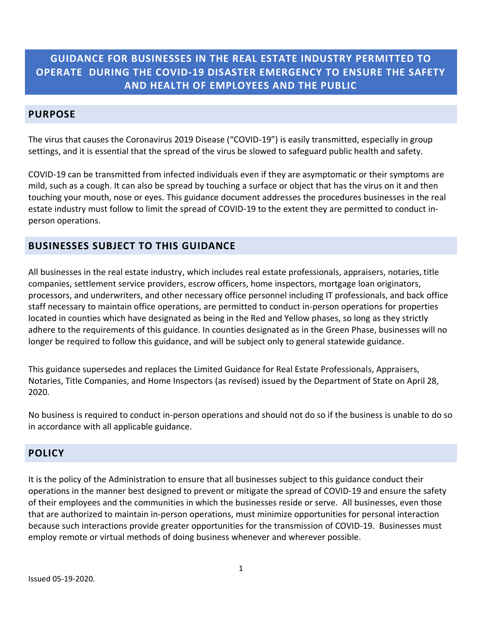# **GUIDANCE FOR BUSINESSES IN THE REAL ESTATE INDUSTRY PERMITTED TO OPERATE DURING THE COVID-19 DISASTER EMERGENCY TO ENSURE THE SAFETY AND HEALTH OF EMPLOYEES AND THE PUBLIC**

### **PURPOSE**

The virus that causes the Coronavirus 2019 Disease ("COVID-19") is easily transmitted, especially in group settings, and it is essential that the spread of the virus be slowed to safeguard public health and safety.

COVID-19 can be transmitted from infected individuals even if they are asymptomatic or their symptoms are mild, such as a cough. It can also be spread by touching a surface or object that has the virus on it and then touching your mouth, nose or eyes. This guidance document addresses the procedures businesses in the real estate industry must follow to limit the spread of COVID-19 to the extent they are permitted to conduct inperson operations.

### **BUSINESSES SUBJECT TO THIS GUIDANCE**

All businesses in the real estate industry, which includes real estate professionals, appraisers, notaries, title companies, settlement service providers, escrow officers, home inspectors, mortgage loan originators, processors, and underwriters, and other necessary office personnel including IT professionals, and back office staff necessary to maintain office operations, are permitted to conduct in-person operations for properties located in counties which have designated as being in the Red and Yellow phases, so long as they strictly adhere to the requirements of this guidance. In counties designated as in the Green Phase, businesses will no longer be required to follow this guidance, and will be subject only to general statewide guidance.

This guidance supersedes and replaces the Limited Guidance for Real Estate Professionals, Appraisers, Notaries, Title Companies, and Home Inspectors (as revised) issued by the Department of State on April 28, 2020.

No business is required to conduct in-person operations and should not do so if the business is unable to do so in accordance with all applicable guidance.

#### **POLICY**

It is the policy of the Administration to ensure that all businesses subject to this guidance conduct their operations in the manner best designed to prevent or mitigate the spread of COVID-19 and ensure the safety of their employees and the communities in which the businesses reside or serve. All businesses, even those that are authorized to maintain in-person operations, must minimize opportunities for personal interaction because such interactions provide greater opportunities for the transmission of COVID-19. Businesses must employ remote or virtual methods of doing business whenever and wherever possible.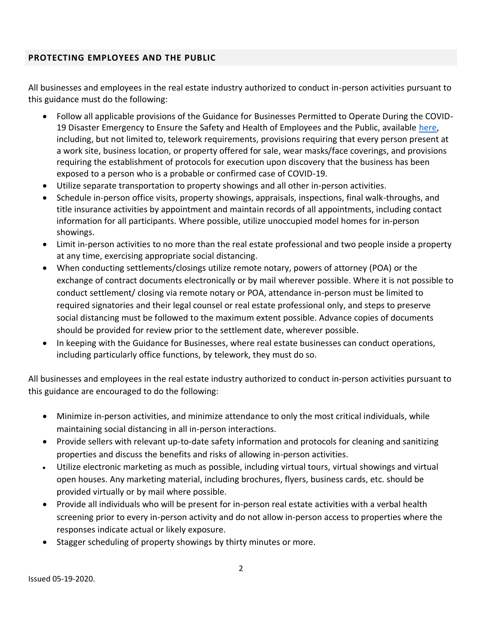#### **PROTECTING EMPLOYEES AND THE PUBLIC**

All businesses and employees in the real estate industry authorized to conduct in-person activities pursuant to this guidance must do the following:

- Follow all applicable provisions of the Guidance for Businesses Permitted to Operate During the COVID-19 Disaster Emergency to Ensure the Safety and Health of Employees and the Public, available [here,](https://www.governor.pa.gov/wp-content/uploads/2020/05/20200504-COVID-19-Business-Guidance.pdf) including, but not limited to, telework requirements, provisions requiring that every person present at a work site, business location, or property offered for sale, wear masks/face coverings, and provisions requiring the establishment of protocols for execution upon discovery that the business has been exposed to a person who is a probable or confirmed case of COVID-19.
- Utilize separate transportation to property showings and all other in-person activities.
- Schedule in-person office visits, property showings, appraisals, inspections, final walk-throughs, and title insurance activities by appointment and maintain records of all appointments, including contact information for all participants. Where possible, utilize unoccupied model homes for in-person showings.
- Limit in-person activities to no more than the real estate professional and two people inside a property at any time, exercising appropriate social distancing.
- When conducting settlements/closings utilize remote notary, powers of attorney (POA) or the exchange of contract documents electronically or by mail wherever possible. Where it is not possible to conduct settlement/ closing via remote notary or POA, attendance in-person must be limited to required signatories and their legal counsel or real estate professional only, and steps to preserve social distancing must be followed to the maximum extent possible. Advance copies of documents should be provided for review prior to the settlement date, wherever possible.
- In keeping with the Guidance for Businesses, where real estate businesses can conduct operations, including particularly office functions, by telework, they must do so.

All businesses and employees in the real estate industry authorized to conduct in-person activities pursuant to this guidance are encouraged to do the following:

- Minimize in-person activities, and minimize attendance to only the most critical individuals, while maintaining social distancing in all in-person interactions.
- Provide sellers with relevant up-to-date safety information and protocols for cleaning and sanitizing properties and discuss the benefits and risks of allowing in-person activities.
- Utilize electronic marketing as much as possible, including virtual tours, virtual showings and virtual open houses. Any marketing material, including brochures, flyers, business cards, etc. should be provided virtually or by mail where possible.
- x Provide all individuals who will be present for in-person real estate activities with a verbal health screening prior to every in-person activity and do not allow in-person access to properties where the responses indicate actual or likely exposure.
- Stagger scheduling of property showings by thirty minutes or more.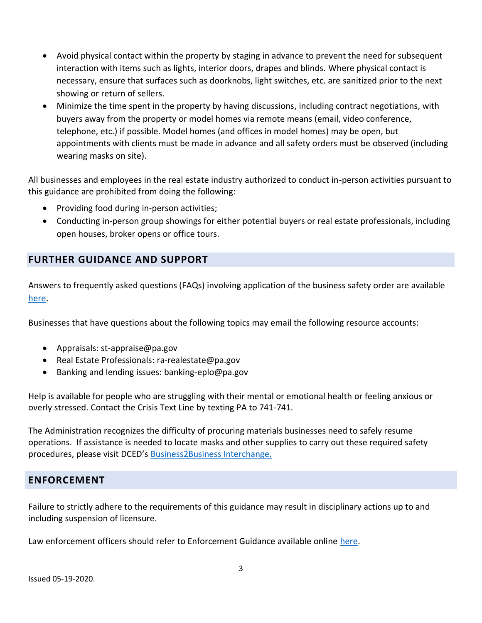- Avoid physical contact within the property by staging in advance to prevent the need for subsequent interaction with items such as lights, interior doors, drapes and blinds. Where physical contact is necessary, ensure that surfaces such as doorknobs, light switches, etc. are sanitized prior to the next showing or return of sellers.
- Minimize the time spent in the property by having discussions, including contract negotiations, with buyers away from the property or model homes via remote means (email, video conference, telephone, etc.) if possible. Model homes (and offices in model homes) may be open, but appointments with clients must be made in advance and all safety orders must be observed (including wearing masks on site).

All businesses and employees in the real estate industry authorized to conduct in-person activities pursuant to this guidance are prohibited from doing the following:

- Providing food during in-person activities;
- Conducting in-person group showings for either potential buyers or real estate professionals, including open houses, broker opens or office tours.

## **FURTHER GUIDANCE AND SUPPORT**

Answers to frequently asked questions (FAQs) involving application of the business safety order are available [here.](https://www.health.pa.gov/topics/Documents/Diseases%20and%20Conditions/COVID-19%20Workplace%20Safety%20Questions.pdf)

Businesses that have questions about the following topics may email the following resource accounts:

- Appraisals: st-appraise@pa.gov
- $\bullet$  Real Estate Professionals: ra-realestate@pa.gov
- $\bullet$  Banking and lending issues: banking-eplo@pa.gov

Help is available for people who are struggling with their mental or emotional health or feeling anxious or overly stressed. Contact the Crisis Text Line by texting PA to 741-741.

The Administration recognizes the difficulty of procuring materials businesses need to safely resume operations. If assistance is needed to locate masks and other supplies to carry out these required safety procedures, please visit DCED's Business2Business Interchange.

## **ENFORCEMENT**

Failure to strictly adhere to the requirements of this guidance may result in disciplinary actions up to and including suspension of licensure.

Law enforcement officers should refer to Enforcement Guidance available online [here.](https://www.psp.pa.gov/Documents/Public%20Documents/Letter%20LEO%20Community.pdf)